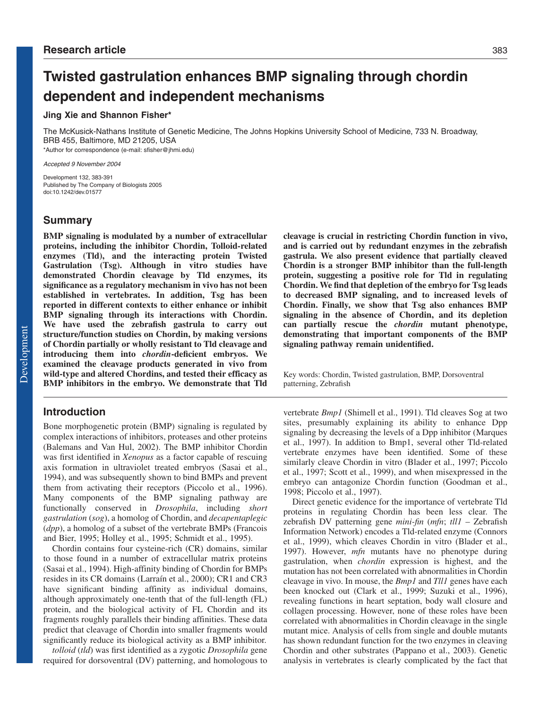# **Twisted gastrulation enhances BMP signaling through chordin dependent and independent mechanisms**

**Jing Xie and Shannon Fisher\***

The McKusick-Nathans Institute of Genetic Medicine, The Johns Hopkins University School of Medicine, 733 N. Broadway, BRB 455, Baltimore, MD 21205, USA \*Author for correspondence (e-mail: sfisher@jhmi.edu)

Accepted 9 November 2004

Development 132, 383-391 Published by The Company of Biologists 2005 doi:10.1242/dev.01577

# **Summary**

**BMP signaling is modulated by a number of extracellular proteins, including the inhibitor Chordin, Tolloid-related enzymes (Tld), and the interacting protein Twisted Gastrulation (Tsg). Although in vitro studies have demonstrated Chordin cleavage by Tld enzymes, its significance as a regulatory mechanism in vivo has not been established in vertebrates. In addition, Tsg has been reported in different contexts to either enhance or inhibit BMP signaling through its interactions with Chordin. We have used the zebrafish gastrula to carry out structure/function studies on Chordin, by making versions of Chordin partially or wholly resistant to Tld cleavage and introducing them into** *chordin***-deficient embryos. We examined the cleavage products generated in vivo from wild-type and altered Chordins, and tested their efficacy as BMP inhibitors in the embryo. We demonstrate that Tld**

# **Introduction**

Bone morphogenetic protein (BMP) signaling is regulated by complex interactions of inhibitors, proteases and other proteins (Balemans and Van Hul, 2002). The BMP inhibitor Chordin was first identified in *Xenopus* as a factor capable of rescuing axis formation in ultraviolet treated embryos (Sasai et al., 1994), and was subsequently shown to bind BMPs and prevent them from activating their receptors (Piccolo et al., 1996). Many components of the BMP signaling pathway are functionally conserved in *Drosophila*, including *short gastrulation* (*sog*), a homolog of Chordin, and *decapentaplegic* (*dpp*), a homolog of a subset of the vertebrate BMPs (Francois and Bier, 1995; Holley et al., 1995; Schmidt et al., 1995).

Chordin contains four cysteine-rich (CR) domains, similar to those found in a number of extracellular matrix proteins (Sasai et al., 1994). High-affinity binding of Chordin for BMPs resides in its CR domains (Larraín et al., 2000); CR1 and CR3 have significant binding affinity as individual domains, although approximately one-tenth that of the full-length (FL) protein, and the biological activity of FL Chordin and its fragments roughly parallels their binding affinities. These data predict that cleavage of Chordin into smaller fragments would significantly reduce its biological activity as a BMP inhibitor.

*tolloid* (*tld*) was first identified as a zygotic *Drosophila* gene required for dorsoventral (DV) patterning, and homologous to **cleavage is crucial in restricting Chordin function in vivo, and is carried out by redundant enzymes in the zebrafish gastrula. We also present evidence that partially cleaved Chordin is a stronger BMP inhibitor than the full-length protein, suggesting a positive role for Tld in regulating Chordin. We find that depletion of the embryo for Tsg leads to decreased BMP signaling, and to increased levels of Chordin. Finally, we show that Tsg also enhances BMP signaling in the absence of Chordin, and its depletion can partially rescue the** *chordin* **mutant phenotype, demonstrating that important components of the BMP signaling pathway remain unidentified.**

Key words: Chordin, Twisted gastrulation, BMP, Dorsoventral patterning, Zebrafish

vertebrate *Bmp1* (Shimell et al., 1991). Tld cleaves Sog at two sites, presumably explaining its ability to enhance Dpp signaling by decreasing the levels of a Dpp inhibitor (Marques et al., 1997). In addition to Bmp1, several other Tld-related vertebrate enzymes have been identified. Some of these similarly cleave Chordin in vitro (Blader et al., 1997; Piccolo et al., 1997; Scott et al., 1999), and when misexpressed in the embryo can antagonize Chordin function (Goodman et al., 1998; Piccolo et al., 1997).

Direct genetic evidence for the importance of vertebrate Tld proteins in regulating Chordin has been less clear. The zebrafish DV patterning gene *mini-fin* (*mfn*; *tll1* – Zebrafish Information Network) encodes a Tld-related enzyme (Connors et al., 1999), which cleaves Chordin in vitro (Blader et al., 1997). However, *mfn* mutants have no phenotype during gastrulation, when *chordin* expression is highest, and the mutation has not been correlated with abnormalities in Chordin cleavage in vivo. In mouse, the *Bmp1* and *Tll1* genes have each been knocked out (Clark et al., 1999; Suzuki et al., 1996), revealing functions in heart septation, body wall closure and collagen processing. However, none of these roles have been correlated with abnormalities in Chordin cleavage in the single mutant mice. Analysis of cells from single and double mutants has shown redundant function for the two enzymes in cleaving Chordin and other substrates (Pappano et al., 2003). Genetic analysis in vertebrates is clearly complicated by the fact that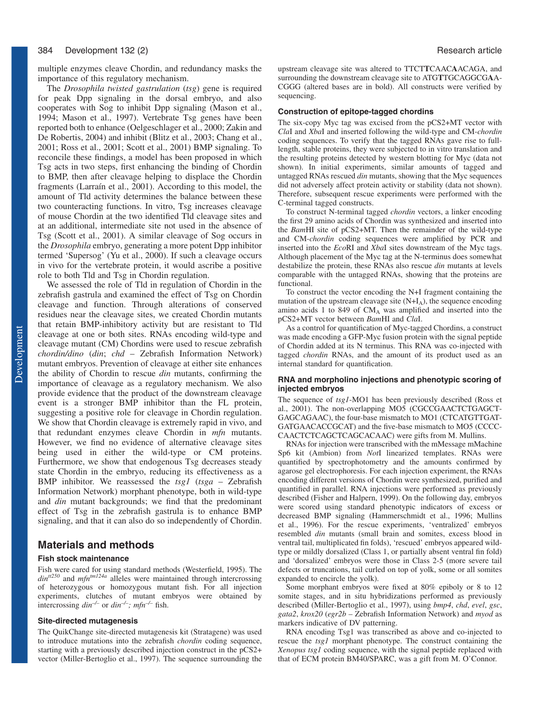multiple enzymes cleave Chordin, and redundancy masks the importance of this regulatory mechanism.

The *Drosophila twisted gastrulation* (*tsg*) gene is required for peak Dpp signaling in the dorsal embryo, and also cooperates with Sog to inhibit Dpp signaling (Mason et al., 1994; Mason et al., 1997). Vertebrate Tsg genes have been reported both to enhance (Oelgeschlager et al., 2000; Zakin and De Robertis, 2004) and inhibit (Blitz et al., 2003; Chang et al., 2001; Ross et al., 2001; Scott et al., 2001) BMP signaling. To reconcile these findings, a model has been proposed in which Tsg acts in two steps, first enhancing the binding of Chordin to BMP, then after cleavage helping to displace the Chordin fragments (Larraín et al., 2001). According to this model, the amount of Tld activity determines the balance between these two counteracting functions. In vitro, Tsg increases cleavage of mouse Chordin at the two identified Tld cleavage sites and at an additional, intermediate site not used in the absence of Tsg (Scott et al., 2001). A similar cleavage of Sog occurs in the *Drosophila* embryo, generating a more potent Dpp inhibitor termed 'Supersog' (Yu et al., 2000). If such a cleavage occurs in vivo for the vertebrate protein, it would ascribe a positive role to both Tld and Tsg in Chordin regulation.

We assessed the role of Tld in regulation of Chordin in the zebrafish gastrula and examined the effect of Tsg on Chordin cleavage and function. Through alterations of conserved residues near the cleavage sites, we created Chordin mutants that retain BMP-inhibitory activity but are resistant to Tld cleavage at one or both sites. RNAs encoding wild-type and cleavage mutant (CM) Chordins were used to rescue zebrafish *chordin/dino* (*din*; *chd* – Zebrafish Information Network) mutant embryos. Prevention of cleavage at either site enhances the ability of Chordin to rescue *din* mutants, confirming the importance of cleavage as a regulatory mechanism. We also provide evidence that the product of the downstream cleavage event is a stronger BMP inhibitor than the FL protein, suggesting a positive role for cleavage in Chordin regulation. We show that Chordin cleavage is extremely rapid in vivo, and that redundant enzymes cleave Chordin in *mfn* mutants. However, we find no evidence of alternative cleavage sites being used in either the wild-type or CM proteins. Furthermore, we show that endogenous Tsg decreases steady state Chordin in the embryo, reducing its effectiveness as a BMP inhibitor. We reassessed the *tsg1* (*tsga* – Zebrafish Information Network) morphant phenotype, both in wild-type and *din* mutant backgrounds; we find that the predominant effect of Tsg in the zebrafish gastrula is to enhance BMP signaling, and that it can also do so independently of Chordin.

## **Materials and methods**

#### **Fish stock maintenance**

Fish were cared for using standard methods (Westerfield, 1995). The *dintt250* and *mfntm124a* alleles were maintained through intercrossing of heterozygous or homozygous mutant fish. For all injection experiments, clutches of mutant embryos were obtained by intercrossing *din–/–* or *din–/–; mfn–/–* fish.

## **Site-directed mutagenesis**

The QuikChange site-directed mutagenesis kit (Stratagene) was used to introduce mutations into the zebrafish *chordin* coding sequence, starting with a previously described injection construct in the pCS2+ vector (Miller-Bertoglio et al., 1997). The sequence surrounding the

upstream cleavage site was altered to TTCT**T**CAAC**A**ACAGA, and surrounding the downstream cleavage site to ATG**T**TGCAGGCG**A**A-CGGG (altered bases are in bold). All constructs were verified by sequencing.

#### **Construction of epitope-tagged chordins**

The six-copy Myc tag was excised from the pCS2+MT vector with *Cla*I and *Xba*I and inserted following the wild-type and CM-*chordin* coding sequences. To verify that the tagged RNAs gave rise to fulllength, stable proteins, they were subjected to in vitro translation and the resulting proteins detected by western blotting for Myc (data not shown). In initial experiments, similar amounts of tagged and untagged RNAs rescued *din* mutants, showing that the Myc sequences did not adversely affect protein activity or stability (data not shown). Therefore, subsequent rescue experiments were performed with the C-terminal tagged constructs.

To construct N-terminal tagged *chordin* vectors, a linker encoding the first 29 amino acids of Chordin was synthesized and inserted into the *Bam*HI site of pCS2+MT. Then the remainder of the wild-type and CM-*chordin* coding sequences were amplified by PCR and inserted into the *Eco*RI and *Xba*I sites downstream of the Myc tags. Although placement of the Myc tag at the N-terminus does somewhat destabilize the protein, these RNAs also rescue *din* mutants at levels comparable with the untagged RNAs, showing that the proteins are functional.

To construct the vector encoding the N+I fragment containing the mutation of the upstream cleavage site  $(N+I_A)$ , the sequence encoding amino acids 1 to 849 of CMA was amplified and inserted into the pCS2+MT vector between *Bam*HI and *Cla*I.

As a control for quantification of Myc-tagged Chordins, a construct was made encoding a GFP-Myc fusion protein with the signal peptide of Chordin added at its N terminus. This RNA was co-injected with tagged *chordin* RNAs, and the amount of its product used as an internal standard for quantification.

#### **RNA and morpholino injections and phenotypic scoring of injected embryos**

The sequence of *tsg1*-MO1 has been previously described (Ross et al., 2001). The non-overlapping MO5 (CGCCGAACTCTGAGCT-GAGCAGAAC), the four-base mismatch to MO1 (CTCATGTTGAT-GATGAACACCGCAT) and the five-base mismatch to MO5 (CCCC-CAACTCTCAGCTCAGCACAAC) were gifts from M. Mullins.

RNAs for injection were transcribed with the mMessage mMachine Sp6 kit (Ambion) from *Not*I linearized templates. RNAs were quantified by spectrophotometry and the amounts confirmed by agarose gel electrophoresis. For each injection experiment, the RNAs encoding different versions of Chordin were synthesized, purified and quantified in parallel. RNA injections were performed as previously described (Fisher and Halpern, 1999). On the following day, embryos were scored using standard phenotypic indicators of excess or decreased BMP signaling (Hammerschmidt et al., 1996; Mullins et al., 1996). For the rescue experiments, 'ventralized' embryos resembled *din* mutants (small brain and somites, excess blood in ventral tail, multiplicated fin folds), 'rescued' embryos appeared wildtype or mildly dorsalized (Class 1, or partially absent ventral fin fold) and 'dorsalized' embryos were those in Class 2-5 (more severe tail defects or truncations, tail curled on top of yolk, some or all somites expanded to encircle the yolk).

Some morphant embryos were fixed at 80% epiboly or 8 to 12 somite stages, and in situ hybridizations performed as previously described (Miller-Bertoglio et al., 1997), using *bmp4*, *chd*, *evel*, *gsc*, *gata2*, *krox20* (*egr2b* – Zebrafish Information Network) and *myod* as markers indicative of DV patterning.

RNA encoding Tsg1 was transcribed as above and co-injected to rescue the *tsg1* morphant phenotype. The construct containing the *Xenopus tsg1* coding sequence, with the signal peptide replaced with that of ECM protein BM40/SPARC, was a gift from M. O'Connor.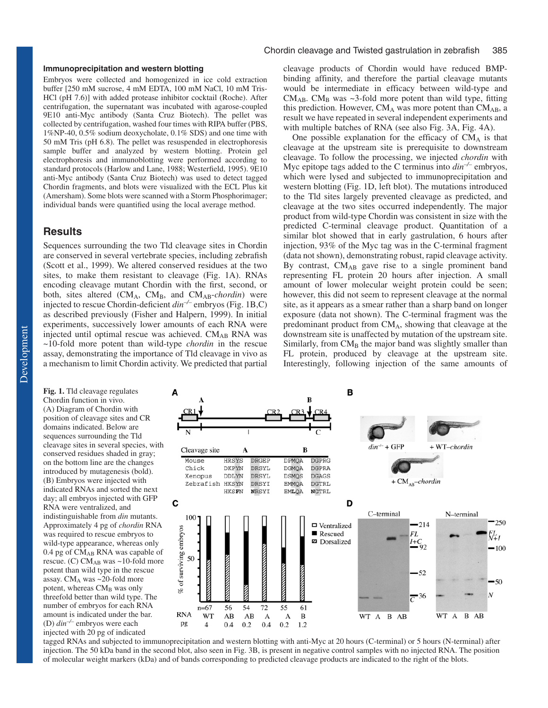#### **Immunoprecipitation and western blotting**

Embryos were collected and homogenized in ice cold extraction buffer [250 mM sucrose, 4 mM EDTA, 100 mM NaCl, 10 mM Tris-HCl (pH 7.6)] with added protease inhibitor cocktail (Roche). After centrifugation, the supernatant was incubated with agarose-coupled 9E10 anti-Myc antibody (Santa Cruz Biotech). The pellet was collected by centrifugation, washed four times with RIPA buffer (PBS, 1%NP-40, 0.5% sodium deoxycholate, 0.1% SDS) and one time with 50 mM Tris (pH 6.8). The pellet was resuspended in electrophoresis sample buffer and analyzed by western blotting. Protein gel electrophoresis and immunoblotting were performed according to standard protocols (Harlow and Lane, 1988; Westerfield, 1995). 9E10 anti-Myc antibody (Santa Cruz Biotech) was used to detect tagged Chordin fragments, and blots were visualized with the ECL Plus kit (Amersham). Some blots were scanned with a Storm Phosphorimager; individual bands were quantified using the local average method.

# **Results**

Sequences surrounding the two Tld cleavage sites in Chordin are conserved in several vertebrate species, including zebrafish (Scott et al., 1999). We altered conserved residues at the two sites, to make them resistant to cleavage (Fig. 1A). RNAs encoding cleavage mutant Chordin with the first, second, or both, sites altered (CM<sub>A</sub>, CM<sub>B</sub>, and CM<sub>AB</sub>-*chordin*) were injected to rescue Chordin-deficient *din–/–* embryos (Fig. 1B,C) as described previously (Fisher and Halpern, 1999). In initial experiments, successively lower amounts of each RNA were injected until optimal rescue was achieved. CMAB RNA was ~10-fold more potent than wild-type *chordin* in the rescue assay, demonstrating the importance of Tld cleavage in vivo as a mechanism to limit Chordin activity. We predicted that partial

cleavage products of Chordin would have reduced BMPbinding affinity, and therefore the partial cleavage mutants would be intermediate in efficacy between wild-type and CM<sub>AB</sub>. CM<sub>B</sub> was  $\sim$ 3-fold more potent than wild type, fitting this prediction. However,  $CM_A$  was more potent than  $CM_{AB}$ , a result we have repeated in several independent experiments and with multiple batches of RNA (see also Fig. 3A, Fig. 4A).

One possible explanation for the efficacy of  $CM_A$  is that cleavage at the upstream site is prerequisite to downstream cleavage. To follow the processing, we injected *chordin* with Myc epitope tags added to the C terminus into *din–/–* embryos, which were lysed and subjected to immunoprecipitation and western blotting (Fig. 1D, left blot). The mutations introduced to the Tld sites largely prevented cleavage as predicted, and cleavage at the two sites occurred independently. The major product from wild-type Chordin was consistent in size with the predicted C-terminal cleavage product. Quantitation of a similar blot showed that in early gastrulation, 6 hours after injection, 93% of the Myc tag was in the C-terminal fragment (data not shown), demonstrating robust, rapid cleavage activity. By contrast, CMAB gave rise to a single prominent band representing FL protein 20 hours after injection. A small amount of lower molecular weight protein could be seen; however, this did not seem to represent cleavage at the normal site, as it appears as a smear rather than a sharp band on longer exposure (data not shown). The C-terminal fragment was the predominant product from CMA, showing that cleavage at the downstream site is unaffected by mutation of the upstream site. Similarly, from  $CM_B$  the major band was slightly smaller than FL protein, produced by cleavage at the upstream site. Interestingly, following injection of the same amounts of

**Fig. 1.** Tld cleavage regulates Chordin function in vivo. (A) Diagram of Chordin with position of cleavage sites and CR domains indicated. Below are sequences surrounding the Tld cleavage sites in several species, with conserved residues shaded in gray; on the bottom line are the changes introduced by mutagenesis (bold). (B) Embryos were injected with indicated RNAs and sorted the next day; all embryos injected with GFP RNA were ventralized, and indistinguishable from *din* mutants. Approximately 4 pg of *chordin* RNA was required to rescue embryos to wild-type appearance, whereas only 0.4 pg of CMAB RNA was capable of rescue. (C) CM<sub>AB</sub> was  $\sim$ 10-fold more potent than wild type in the rescue assay. CMA was ~20-fold more potent, whereas  $CM_B$  was only threefold better than wild type. The number of embryos for each RNA amount is indicated under the bar. (D) *din–/–* embryos were each injected with 20 pg of indicated



tagged RNAs and subjected to immunoprecipitation and western blotting with anti-Myc at 20 hours (C-terminal) or 5 hours (N-terminal) after injection. The 50 kDa band in the second blot, also seen in Fig. 3B, is present in negative control samples with no injected RNA. The position of molecular weight markers (kDa) and of bands corresponding to predicted cleavage products are indicated to the right of the blots.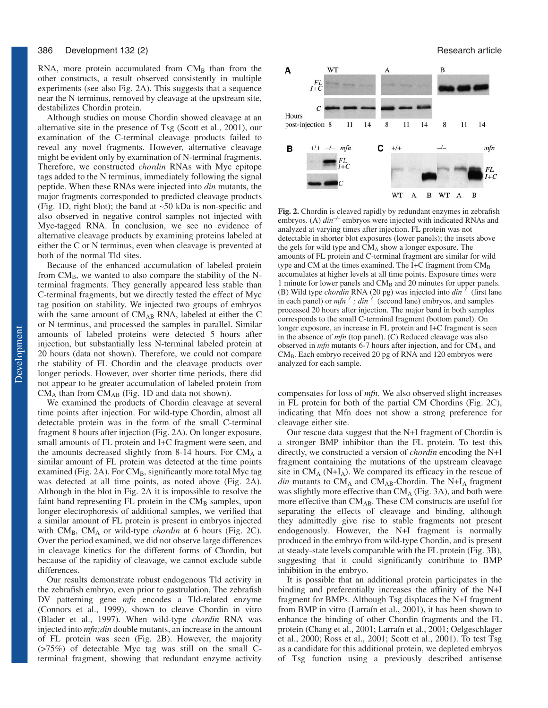RNA, more protein accumulated from  $CM_B$  than from the other constructs, a result observed consistently in multiple experiments (see also Fig. 2A). This suggests that a sequence near the N terminus, removed by cleavage at the upstream site, destabilizes Chordin protein.

Although studies on mouse Chordin showed cleavage at an alternative site in the presence of Tsg (Scott et al., 2001), our examination of the C-terminal cleavage products failed to reveal any novel fragments. However, alternative cleavage might be evident only by examination of N-terminal fragments. Therefore, we constructed *chordin* RNAs with Myc epitope tags added to the N terminus, immediately following the signal peptide. When these RNAs were injected into *din* mutants, the major fragments corresponded to predicted cleavage products (Fig. 1D, right blot); the band at ~50 kDa is non-specific and also observed in negative control samples not injected with Myc-tagged RNA. In conclusion, we see no evidence of alternative cleavage products by examining proteins labeled at either the C or N terminus, even when cleavage is prevented at both of the normal Tld sites.

Because of the enhanced accumulation of labeled protein from  $CM_B$ , we wanted to also compare the stability of the Nterminal fragments. They generally appeared less stable than C-terminal fragments, but we directly tested the effect of Myc tag position on stability. We injected two groups of embryos with the same amount of CMAB RNA, labeled at either the C or N terminus, and processed the samples in parallel. Similar amounts of labeled proteins were detected 5 hours after injection, but substantially less N-terminal labeled protein at 20 hours (data not shown). Therefore, we could not compare the stability of FL Chordin and the cleavage products over longer periods. However, over shorter time periods, there did not appear to be greater accumulation of labeled protein from  $CM_A$  than from  $CM_{AB}$  (Fig. 1D and data not shown).

We examined the products of Chordin cleavage at several time points after injection. For wild-type Chordin, almost all detectable protein was in the form of the small C-terminal fragment 8 hours after injection (Fig. 2A). On longer exposure, small amounts of FL protein and I+C fragment were seen, and the amounts decreased slightly from 8-14 hours. For  $CM_A$  a similar amount of FL protein was detected at the time points examined (Fig. 2A). For  $CM_B$ , significantly more total Myc tag was detected at all time points, as noted above (Fig. 2A). Although in the blot in Fig. 2A it is impossible to resolve the faint band representing  $FL$  protein in the  $CM_B$  samples, upon longer electrophoresis of additional samples, we verified that a similar amount of FL protein is present in embryos injected with  $CM_B$ ,  $CM_A$  or wild-type *chordin* at 6 hours (Fig. 2C). Over the period examined, we did not observe large differences in cleavage kinetics for the different forms of Chordin, but because of the rapidity of cleavage, we cannot exclude subtle differences.

Our results demonstrate robust endogenous Tld activity in the zebrafish embryo, even prior to gastrulation. The zebrafish DV patterning gene *mfn* encodes a Tld-related enzyme (Connors et al., 1999), shown to cleave Chordin in vitro (Blader et al., 1997). When wild-type *chordin* RNA was injected into *mfn;din* double mutants, an increase in the amount of FL protein was seen (Fig. 2B). However, the majority (>75%) of detectable Myc tag was still on the small Cterminal fragment, showing that redundant enzyme activity



**Fig. 2.** Chordin is cleaved rapidly by redundant enzymes in zebrafish embryos. (A) *din–/–* embryos were injected with indicated RNAs and analyzed at varying times after injection. FL protein was not detectable in shorter blot exposures (lower panels); the insets above the gels for wild type and  $CM_A$  show a longer exposure. The amounts of FL protein and C-terminal fragment are similar for wild type and CM at the times examined. The I+C fragment from  $CM_B$ accumulates at higher levels at all time points. Exposure times were 1 minute for lower panels and CM<sub>B</sub> and 20 minutes for upper panels. (B) Wild type *chordin* RNA (20 pg) was injected into *din–/–* (first lane in each panel) or  $mfn^{-/-}$ ;  $din^{-/-}$  (second lane) embryos, and samples processed 20 hours after injection. The major band in both samples corresponds to the small C-terminal fragment (bottom panel). On longer exposure, an increase in FL protein and I+C fragment is seen in the absence of *mfn* (top panel). (C) Reduced cleavage was also observed in  $mfn$  mutants 6-7 hours after injection, and for  $CM_A$  and CMB. Each embryo received 20 pg of RNA and 120 embryos were analyzed for each sample.

compensates for loss of *mfn*. We also observed slight increases in FL protein for both of the partial CM Chordins (Fig. 2C), indicating that Mfn does not show a strong preference for cleavage either site.

Our rescue data suggest that the N+I fragment of Chordin is a stronger BMP inhibitor than the FL protein. To test this directly, we constructed a version of *chordin* encoding the N+I fragment containing the mutations of the upstream cleavage site in  $CM_A (N+I_A)$ . We compared its efficacy in the rescue of din mutants to CM<sub>A</sub> and CM<sub>AB</sub>-Chordin. The N+I<sub>A</sub> fragment was slightly more effective than CM<sub>A</sub> (Fig. 3A), and both were more effective than CMAB. These CM constructs are useful for separating the effects of cleavage and binding, although they admittedly give rise to stable fragments not present endogenously. However, the N+I fragment is normally produced in the embryo from wild-type Chordin, and is present at steady-state levels comparable with the FL protein (Fig. 3B), suggesting that it could significantly contribute to BMP inhibition in the embryo.

It is possible that an additional protein participates in the binding and preferentially increases the affinity of the N+I fragment for BMPs. Although Tsg displaces the N+I fragment from BMP in vitro (Larraín et al., 2001), it has been shown to enhance the binding of other Chordin fragments and the FL protein (Chang et al., 2001; Larraín et al., 2001; Oelgeschlager et al., 2000; Ross et al., 2001; Scott et al., 2001). To test Tsg as a candidate for this additional protein, we depleted embryos of Tsg function using a previously described antisense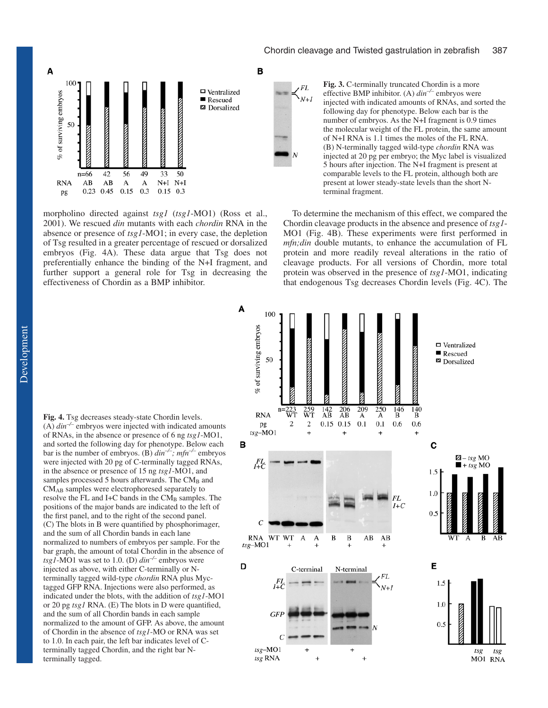

morpholino directed against *tsg1* (*tsg1*-MO1) (Ross et al., 2001). We rescued *din* mutants with each *chordin* RNA in the absence or presence of *tsg1*-MO1; in every case, the depletion of Tsg resulted in a greater percentage of rescued or dorsalized embryos (Fig. 4A). These data argue that Tsg does not preferentially enhance the binding of the N+I fragment, and further support a general role for Tsg in decreasing the effectiveness of Chordin as a BMP inhibitor.

FI.  $N+I$ 

B

**Fig. 3.** C-terminally truncated Chordin is a more effective BMP inhibitor. (A) *din–/–* embryos were injected with indicated amounts of RNAs, and sorted the following day for phenotype. Below each bar is the number of embryos. As the N+I fragment is 0.9 times the molecular weight of the FL protein, the same amount of N+I RNA is 1.1 times the moles of the FL RNA. (B) N-terminally tagged wild-type *chordin* RNA was injected at 20 pg per embryo; the Myc label is visualized 5 hours after injection. The N+I fragment is present at comparable levels to the FL protein, although both are present at lower steady-state levels than the short Nterminal fragment.

To determine the mechanism of this effect, we compared the Chordin cleavage products in the absence and presence of *tsg1*- MO1 (Fig. 4B). These experiments were first performed in *mfn;din* double mutants, to enhance the accumulation of FL protein and more readily reveal alterations in the ratio of cleavage products. For all versions of Chordin, more total protein was observed in the presence of *tsg1*-MO1, indicating that endogenous Tsg decreases Chordin levels (Fig. 4C). The



**Fig. 4.** Tsg decreases steady-state Chordin levels. (A) *din–/–* embryos were injected with indicated amounts of RNAs, in the absence or presence of 6 ng *tsg1*-MO1, and sorted the following day for phenotype. Below each bar is the number of embryos. (B) *din–/–; mfn–/–* embryos were injected with 20 pg of C-terminally tagged RNAs, in the absence or presence of 15 ng *tsg1*-MO1, and samples processed 5 hours afterwards. The CMB and CM<sub>AB</sub> samples were electrophoresed separately to resolve the FL and I+C bands in the CM<sub>B</sub> samples. The positions of the major bands are indicated to the left of the first panel, and to the right of the second panel. (C) The blots in B were quantified by phosphorimager, and the sum of all Chordin bands in each lane normalized to numbers of embryos per sample. For the bar graph, the amount of total Chordin in the absence of *tsg1*-MO1 was set to 1.0. (D) *din–/–* embryos were injected as above, with either C-terminally or Nterminally tagged wild-type *chordin* RNA plus Myctagged GFP RNA. Injections were also performed, as indicated under the blots, with the addition of *tsg1*-MO1 or 20 pg *tsg1* RNA. (E) The blots in D were quantified, and the sum of all Chordin bands in each sample normalized to the amount of GFP. As above, the amount of Chordin in the absence of *tsg1*-MO or RNA was set to 1.0. In each pair, the left bar indicates level of Cterminally tagged Chordin, and the right bar Nterminally tagged.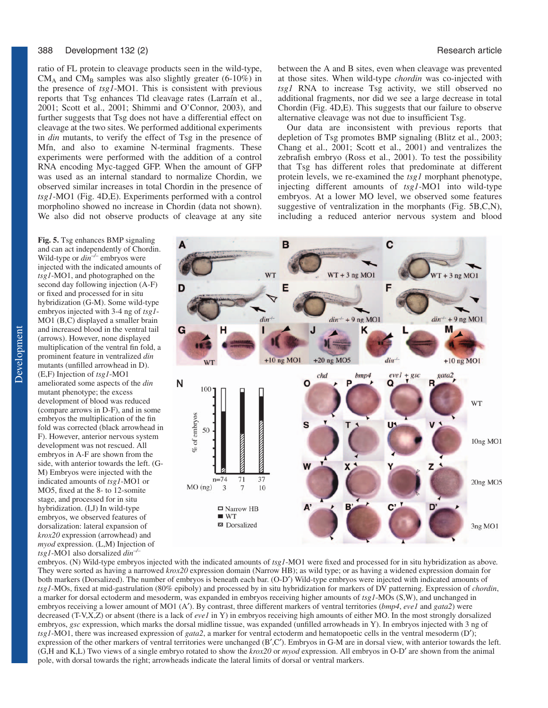**Fig. 5.** Tsg enhances BMP signaling

*tsg1*-MO1, and photographed on the

Wild-type or  $\frac{d\hat{n}^{-1}}{2}$  embryos were

or fixed and processed for in situ

(arrows). However, none displayed

prominent feature in ventralized *din* mutants (unfilled arrowhead in D). (E,F) Injection of *tsg1*-MO1 ameliorated some aspects of the *din* mutant phenotype; the excess development of blood was reduced

development was not rescued. All embryos in A-F are shown from the

M) Embryos were injected with the indicated amounts of *tsg1*-MO1 or MO5, fixed at the 8- to 12-somite stage, and processed for in situ hybridization. (I,J) In wild-type embryos, we observed features of dorsalization: lateral expansion of *krox20* expression (arrowhead) and *myod* expression. (L,M) Injection of *tsg1*-MO1 also dorsalized *din–/–*

ratio of FL protein to cleavage products seen in the wild-type,  $CM_A$  and  $CM_B$  samples was also slightly greater (6-10%) in the presence of *tsg1*-MO1. This is consistent with previous reports that Tsg enhances Tld cleavage rates (Larraín et al., 2001; Scott et al., 2001; Shimmi and O'Connor, 2003), and further suggests that Tsg does not have a differential effect on cleavage at the two sites. We performed additional experiments in *din* mutants, to verify the effect of Tsg in the presence of Mfn, and also to examine N-terminal fragments. These experiments were performed with the addition of a control RNA encoding Myc-tagged GFP. When the amount of GFP was used as an internal standard to normalize Chordin, we observed similar increases in total Chordin in the presence of *tsg1*-MO1 (Fig. 4D,E). Experiments performed with a control morpholino showed no increase in Chordin (data not shown). We also did not observe products of cleavage at any site between the A and B sites, even when cleavage was prevented at those sites. When wild-type *chordin* was co-injected with *tsg1* RNA to increase Tsg activity, we still observed no additional fragments, nor did we see a large decrease in total Chordin (Fig. 4D,E). This suggests that our failure to observe alternative cleavage was not due to insufficient Tsg.

Our data are inconsistent with previous reports that depletion of Tsg promotes BMP signaling (Blitz et al., 2003; Chang et al., 2001; Scott et al., 2001) and ventralizes the zebrafish embryo (Ross et al., 2001). To test the possibility that Tsg has different roles that predominate at different protein levels, we re-examined the *tsg1* morphant phenotype, injecting different amounts of *tsg1-*MO1 into wild-type embryos. At a lower MO level, we observed some features suggestive of ventralization in the morphants (Fig. 5B,C,N), including a reduced anterior nervous system and blood



embryos. (N) Wild-type embryos injected with the indicated amounts of *tsg1*-MO1 were fixed and processed for in situ hybridization as above*.* They were sorted as having a narrowed *krox20* expression domain (Narrow HB); as wild type; or as having a widened expression domain for both markers (Dorsalized). The number of embryos is beneath each bar. (O-D′) Wild-type embryos were injected with indicated amounts of *tsg1*-MOs, fixed at mid-gastrulation (80% epiboly) and processed by in situ hybridization for markers of DV patterning. Expression of *chordin*, a marker for dorsal ectoderm and mesoderm, was expanded in embryos receiving higher amounts of *tsg1*-MOs (S,W), and unchanged in embryos receiving a lower amount of MO1 (A′). By contrast, three different markers of ventral territories (*bmp4*, *eve1* and *gata2*) were decreased (T-V,X,Z) or absent (there is a lack of *eve1* in Y) in embryos receiving high amounts of either MO. In the most strongly dorsalized embryos, *gsc* expression, which marks the dorsal midline tissue, was expanded (unfilled arrowheads in Y). In embryos injected with 3 ng of *tsg1*-MO1, there was increased expression of *gata2*, a marker for ventral ectoderm and hematopoetic cells in the ventral mesoderm (D′); expression of the other markers of ventral territories were unchanged (B′,C′). Embryos in G-M are in dorsal view, with anterior towards the left. (G,H and K,L) Two views of a single embryo rotated to show the *krox20* or *myod* expression. All embryos in O-D′ are shown from the animal pole, with dorsal towards the right; arrowheads indicate the lateral limits of dorsal or ventral markers.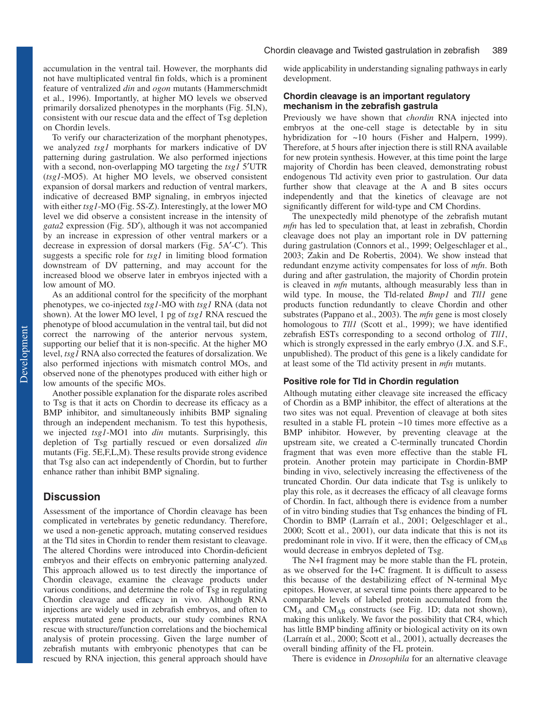accumulation in the ventral tail. However, the morphants did not have multiplicated ventral fin folds, which is a prominent feature of ventralized *din* and *ogon* mutants (Hammerschmidt et al., 1996). Importantly, at higher MO levels we observed primarily dorsalized phenotypes in the morphants (Fig. 5I,N), consistent with our rescue data and the effect of Tsg depletion on Chordin levels.

To verify our characterization of the morphant phenotypes, we analyzed *tsg1* morphants for markers indicative of DV patterning during gastrulation. We also performed injections with a second, non-overlapping MO targeting the *tsg1* 5′UTR (*tsg1*-MO5). At higher MO levels, we observed consistent expansion of dorsal markers and reduction of ventral markers, indicative of decreased BMP signaling, in embryos injected with either *tsg1*-MO (Fig. 5S-Z). Interestingly, at the lower MO level we did observe a consistent increase in the intensity of *gata2* expression (Fig. 5D′), although it was not accompanied by an increase in expression of other ventral markers or a decrease in expression of dorsal markers (Fig. 5A′-C′). This suggests a specific role for *tsg1* in limiting blood formation downstream of DV patterning, and may account for the increased blood we observe later in embryos injected with a low amount of MO.

As an additional control for the specificity of the morphant phenotypes, we co-injected *tsg1*-MO with *tsg1* RNA (data not shown). At the lower MO level, 1 pg of *tsg1* RNA rescued the phenotype of blood accumulation in the ventral tail, but did not correct the narrowing of the anterior nervous system, supporting our belief that it is non-specific. At the higher MO level, *tsg1* RNA also corrected the features of dorsalization. We also performed injections with mismatch control MOs, and observed none of the phenotypes produced with either high or low amounts of the specific MOs.

Another possible explanation for the disparate roles ascribed to Tsg is that it acts on Chordin to decrease its efficacy as a BMP inhibitor, and simultaneously inhibits BMP signaling through an independent mechanism. To test this hypothesis, we injected *tsg1*-MO1 into *din* mutants. Surprisingly, this depletion of Tsg partially rescued or even dorsalized *din* mutants (Fig. 5E,F,L,M). These results provide strong evidence that Tsg also can act independently of Chordin, but to further enhance rather than inhibit BMP signaling.

# **Discussion**

Assessment of the importance of Chordin cleavage has been complicated in vertebrates by genetic redundancy. Therefore, we used a non-genetic approach, mutating conserved residues at the Tld sites in Chordin to render them resistant to cleavage. The altered Chordins were introduced into Chordin-deficient embryos and their effects on embryonic patterning analyzed. This approach allowed us to test directly the importance of Chordin cleavage, examine the cleavage products under various conditions, and determine the role of Tsg in regulating Chordin cleavage and efficacy in vivo. Although RNA injections are widely used in zebrafish embryos, and often to express mutated gene products, our study combines RNA rescue with structure/function correlations and the biochemical analysis of protein processing. Given the large number of zebrafish mutants with embryonic phenotypes that can be rescued by RNA injection, this general approach should have

wide applicability in understanding signaling pathways in early development.

## **Chordin cleavage is an important regulatory mechanism in the zebrafish gastrula**

Previously we have shown that *chordin* RNA injected into embryos at the one-cell stage is detectable by in situ hybridization for ~10 hours (Fisher and Halpern, 1999). Therefore, at 5 hours after injection there is still RNA available for new protein synthesis. However, at this time point the large majority of Chordin has been cleaved, demonstrating robust endogenous Tld activity even prior to gastrulation. Our data further show that cleavage at the A and B sites occurs independently and that the kinetics of cleavage are not significantly different for wild-type and CM Chordins.

The unexpectedly mild phenotype of the zebrafish mutant *mfn* has led to speculation that, at least in zebrafish, Chordin cleavage does not play an important role in DV patterning during gastrulation (Connors et al., 1999; Oelgeschlager et al., 2003; Zakin and De Robertis, 2004). We show instead that redundant enzyme activity compensates for loss of *mfn*. Both during and after gastrulation, the majority of Chordin protein is cleaved in *mfn* mutants, although measurably less than in wild type. In mouse, the Tld-related *Bmp1* and *Tll1* gene products function redundantly to cleave Chordin and other substrates (Pappano et al., 2003). The *mfn* gene is most closely homologous to *Tll1* (Scott et al., 1999); we have identified zebrafish ESTs corresponding to a second ortholog of *Tll1*, which is strongly expressed in the early embryo (J.X. and S.F., unpublished). The product of this gene is a likely candidate for at least some of the Tld activity present in *mfn* mutants.

## **Positive role for Tld in Chordin regulation**

Although mutating either cleavage site increased the efficacy of Chordin as a BMP inhibitor, the effect of alterations at the two sites was not equal. Prevention of cleavage at both sites resulted in a stable FL protein ~10 times more effective as a BMP inhibitor. However, by preventing cleavage at the upstream site, we created a C-terminally truncated Chordin fragment that was even more effective than the stable FL protein. Another protein may participate in Chordin-BMP binding in vivo, selectively increasing the effectiveness of the truncated Chordin. Our data indicate that Tsg is unlikely to play this role, as it decreases the efficacy of all cleavage forms of Chordin. In fact, although there is evidence from a number of in vitro binding studies that Tsg enhances the binding of FL Chordin to BMP (Larraín et al., 2001; Oelgeschlager et al., 2000; Scott et al., 2001), our data indicate that this is not its predominant role in vivo. If it were, then the efficacy of  $CM_{AB}$ would decrease in embryos depleted of Tsg.

The N+I fragment may be more stable than the FL protein, as we observed for the I+C fragment. It is difficult to assess this because of the destabilizing effect of N-terminal Myc epitopes. However, at several time points there appeared to be comparable levels of labeled protein accumulated from the CMA and CMAB constructs (see Fig. 1D; data not shown), making this unlikely. We favor the possibility that CR4, which has little BMP binding affinity or biological activity on its own (Larraín et al., 2000; Scott et al., 2001), actually decreases the overall binding affinity of the FL protein.

There is evidence in *Drosophila* for an alternative cleavage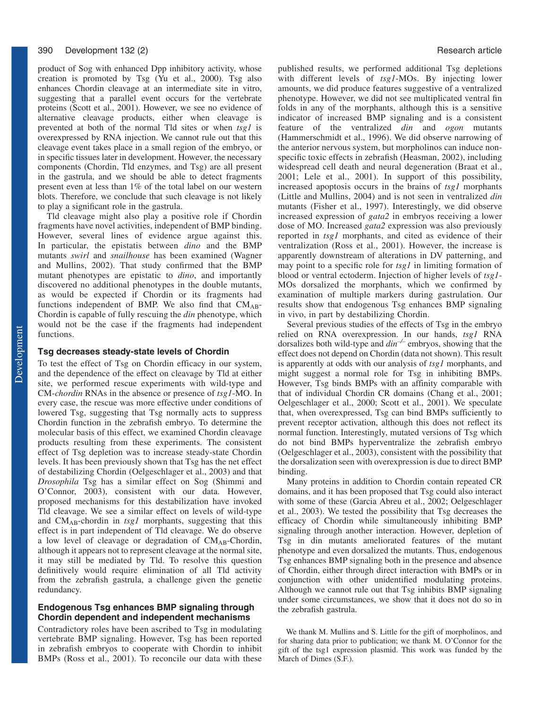product of Sog with enhanced Dpp inhibitory activity, whose creation is promoted by Tsg (Yu et al., 2000). Tsg also enhances Chordin cleavage at an intermediate site in vitro, suggesting that a parallel event occurs for the vertebrate proteins (Scott et al., 2001). However, we see no evidence of alternative cleavage products, either when cleavage is prevented at both of the normal Tld sites or when *tsg1* is overexpressed by RNA injection. We cannot rule out that this cleavage event takes place in a small region of the embryo, or in specific tissues later in development. However, the necessary components (Chordin, Tld enzymes, and Tsg) are all present in the gastrula, and we should be able to detect fragments present even at less than 1% of the total label on our western blots. Therefore, we conclude that such cleavage is not likely to play a significant role in the gastrula.

Tld cleavage might also play a positive role if Chordin fragments have novel activities, independent of BMP binding. However, several lines of evidence argue against this. In particular, the epistatis between *dino* and the BMP mutants *swirl* and *snailhouse* has been examined (Wagner and Mullins, 2002). That study confirmed that the BMP mutant phenotypes are epistatic to *dino*, and importantly discovered no additional phenotypes in the double mutants, as would be expected if Chordin or its fragments had functions independent of BMP. We also find that  $CM<sub>AB</sub>$ -Chordin is capable of fully rescuing the *din* phenotype, which would not be the case if the fragments had independent functions.

#### **Tsg decreases steady-state levels of Chordin**

To test the effect of Tsg on Chordin efficacy in our system, and the dependence of the effect on cleavage by Tld at either site, we performed rescue experiments with wild-type and CM-*chordin* RNAs in the absence or presence of *tsg1*-MO. In every case, the rescue was more effective under conditions of lowered Tsg, suggesting that Tsg normally acts to suppress Chordin function in the zebrafish embryo. To determine the molecular basis of this effect, we examined Chordin cleavage products resulting from these experiments. The consistent effect of Tsg depletion was to increase steady-state Chordin levels. It has been previously shown that Tsg has the net effect of destabilizing Chordin (Oelgeschlager et al., 2003) and that *Drosophila* Tsg has a similar effect on Sog (Shimmi and O'Connor, 2003), consistent with our data. However, proposed mechanisms for this destabilization have invoked Tld cleavage. We see a similar effect on levels of wild-type and  $CM_{AB}$ -chordin in *tsg1* morphants, suggesting that this effect is in part independent of Tld cleavage. We do observe a low level of cleavage or degradation of CMAB-Chordin, although it appears not to represent cleavage at the normal site, it may still be mediated by Tld. To resolve this question definitively would require elimination of all Tld activity from the zebrafish gastrula, a challenge given the genetic redundancy.

## **Endogenous Tsg enhances BMP signaling through Chordin dependent and independent mechanisms**

Contradictory roles have been ascribed to Tsg in modulating vertebrate BMP signaling. However, Tsg has been reported in zebrafish embryos to cooperate with Chordin to inhibit BMPs (Ross et al., 2001). To reconcile our data with these

published results, we performed additional Tsg depletions with different levels of *tsg1*-MOs. By injecting lower amounts, we did produce features suggestive of a ventralized phenotype. However, we did not see multiplicated ventral fin folds in any of the morphants, although this is a sensitive indicator of increased BMP signaling and is a consistent feature of the ventralized *din* and *ogon* mutants (Hammerschmidt et al., 1996). We did observe narrowing of the anterior nervous system, but morpholinos can induce nonspecific toxic effects in zebrafish (Heasman, 2002), including widespread cell death and neural degeneration (Braat et al., 2001; Lele et al., 2001). In support of this possibility, increased apoptosis occurs in the brains of *tsg1* morphants (Little and Mullins, 2004) and is not seen in ventralized *din* mutants (Fisher et al., 1997). Interestingly, we did observe increased expression of *gata2* in embryos receiving a lower dose of MO. Increased *gata2* expression was also previously reported in *tsg1* morphants, and cited as evidence of their ventralization (Ross et al., 2001). However, the increase is apparently downstream of alterations in DV patterning, and may point to a specific role for *tsg1* in limiting formation of blood or ventral ectoderm. Injection of higher levels of *tsg1*- MOs dorsalized the morphants, which we confirmed by examination of multiple markers during gastrulation. Our results show that endogenous Tsg enhances BMP signaling in vivo, in part by destabilizing Chordin.

Several previous studies of the effects of Tsg in the embryo relied on RNA overexpression. In our hands, *tsg1* RNA dorsalizes both wild-type and *din–/–* embryos, showing that the effect does not depend on Chordin (data not shown). This result is apparently at odds with our analysis of *tsg1* morphants, and might suggest a normal role for Tsg in inhibiting BMPs. However, Tsg binds BMPs with an affinity comparable with that of individual Chordin CR domains (Chang et al., 2001; Oelgeschlager et al., 2000; Scott et al., 2001). We speculate that, when overexpressed, Tsg can bind BMPs sufficiently to prevent receptor activation, although this does not reflect its normal function. Interestingly, mutated versions of Tsg which do not bind BMPs hyperventralize the zebrafish embryo (Oelgeschlager et al., 2003), consistent with the possibility that the dorsalization seen with overexpression is due to direct BMP binding.

Many proteins in addition to Chordin contain repeated CR domains, and it has been proposed that Tsg could also interact with some of these (Garcia Abreu et al., 2002; Oelgeschlager et al., 2003). We tested the possibility that Tsg decreases the efficacy of Chordin while simultaneously inhibiting BMP signaling through another interaction. However, depletion of Tsg in din mutants ameliorated features of the mutant phenotype and even dorsalized the mutants. Thus, endogenous Tsg enhances BMP signaling both in the presence and absence of Chordin, either through direct interaction with BMPs or in conjunction with other unidentified modulating proteins. Although we cannot rule out that Tsg inhibits BMP signaling under some circumstances, we show that it does not do so in the zebrafish gastrula.

We thank M. Mullins and S. Little for the gift of morpholinos, and for sharing data prior to publication; we thank M. O'Connor for the gift of the tsg1 expression plasmid. This work was funded by the March of Dimes (S.F.).